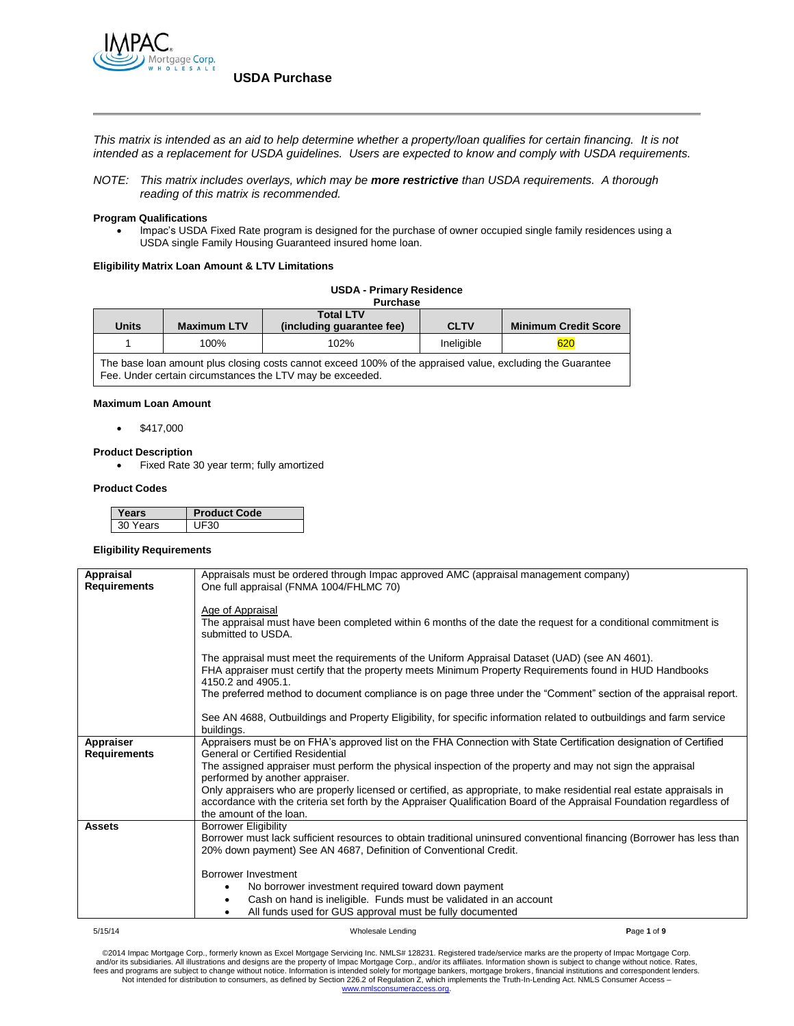

*This matrix is intended as an aid to help determine whether a property/loan qualifies for certain financing. It is not intended as a replacement for USDA guidelines. Users are expected to know and comply with USDA requirements.*

*NOTE: This matrix includes overlays, which may be more restrictive than USDA requirements. A thorough reading of this matrix is recommended.*

#### **Program Qualifications**

 Impac's USDA Fixed Rate program is designed for the purchase of owner occupied single family residences using a USDA single Family Housing Guaranteed insured home loan.

#### **Eligibility Matrix Loan Amount & LTV Limitations**

|  |  | <b>USDA - Primary Residence</b> |
|--|--|---------------------------------|
|--|--|---------------------------------|

|                                                                                                            |                    | <b>Purchase</b>           |             |                             |
|------------------------------------------------------------------------------------------------------------|--------------------|---------------------------|-------------|-----------------------------|
|                                                                                                            |                    | <b>Total LTV</b>          |             |                             |
| Units                                                                                                      | <b>Maximum LTV</b> | (including quarantee fee) | <b>CLTV</b> | <b>Minimum Credit Score</b> |
|                                                                                                            | 100%               | 102%                      | Ineligible  | 620                         |
| The base loan amount plus closing costs cannot exceed 100% of the appraised value, excluding the Guarantee |                    |                           |             |                             |

**Maximum Loan Amount**

 $\bullet$  \$417,000

#### **Product Description**

Fixed Rate 30 year term; fully amortized

Fee. Under certain circumstances the LTV may be exceeded.

#### **Product Codes**

| ears     | 'roduct Code |
|----------|--------------|
| 30 Years |              |

#### **Eligibility Requirements**

| Appraisal<br><b>Requirements</b> | Appraisals must be ordered through Impac approved AMC (appraisal management company)<br>One full appraisal (FNMA 1004/FHLMC 70)                                                                                                                                           |
|----------------------------------|---------------------------------------------------------------------------------------------------------------------------------------------------------------------------------------------------------------------------------------------------------------------------|
|                                  | Age of Appraisal                                                                                                                                                                                                                                                          |
|                                  | The appraisal must have been completed within 6 months of the date the request for a conditional commitment is<br>submitted to USDA.                                                                                                                                      |
|                                  | The appraisal must meet the requirements of the Uniform Appraisal Dataset (UAD) (see AN 4601).<br>FHA appraiser must certify that the property meets Minimum Property Requirements found in HUD Handbooks<br>4150.2 and 4905.1.                                           |
|                                  | The preferred method to document compliance is on page three under the "Comment" section of the appraisal report.                                                                                                                                                         |
|                                  | See AN 4688, Outbuildings and Property Eligibility, for specific information related to outbuildings and farm service<br>buildings.                                                                                                                                       |
| Appraiser<br><b>Requirements</b> | Appraisers must be on FHA's approved list on the FHA Connection with State Certification designation of Certified<br><b>General or Certified Residential</b>                                                                                                              |
|                                  | The assigned appraiser must perform the physical inspection of the property and may not sign the appraisal<br>performed by another appraiser.                                                                                                                             |
|                                  | Only appraisers who are properly licensed or certified, as appropriate, to make residential real estate appraisals in<br>accordance with the criteria set forth by the Appraiser Qualification Board of the Appraisal Foundation regardless of<br>the amount of the loan. |
| <b>Assets</b>                    | <b>Borrower Eligibility</b>                                                                                                                                                                                                                                               |
|                                  | Borrower must lack sufficient resources to obtain traditional uninsured conventional financing (Borrower has less than                                                                                                                                                    |
|                                  | 20% down payment) See AN 4687, Definition of Conventional Credit.                                                                                                                                                                                                         |
|                                  |                                                                                                                                                                                                                                                                           |
|                                  | Borrower Investment                                                                                                                                                                                                                                                       |
|                                  | No borrower investment required toward down payment                                                                                                                                                                                                                       |
|                                  | Cash on hand is ineligible. Funds must be validated in an account                                                                                                                                                                                                         |
|                                  | All funds used for GUS approval must be fully documented                                                                                                                                                                                                                  |
|                                  |                                                                                                                                                                                                                                                                           |
| 5/15/14                          | Wholesale Lending<br>Page 1 of 9                                                                                                                                                                                                                                          |

©2014 Impac Mortgage Corp., formerly known as Excel Mortgage Servicing Inc. NMLS# 128231. Registered trade/service marks are the property of Impac Mortgage Corp.<br>The and/or its subsidiaries. All illustrations and designs Not intended for distribution to consumers, as defined by Section 226.2 of Regulation Z, which implements the Truth-In-Lending Act. NMLS Consumer Access – [www.nmlsconsumeraccess.org.](http://www.nmlsconsumeraccess.org/)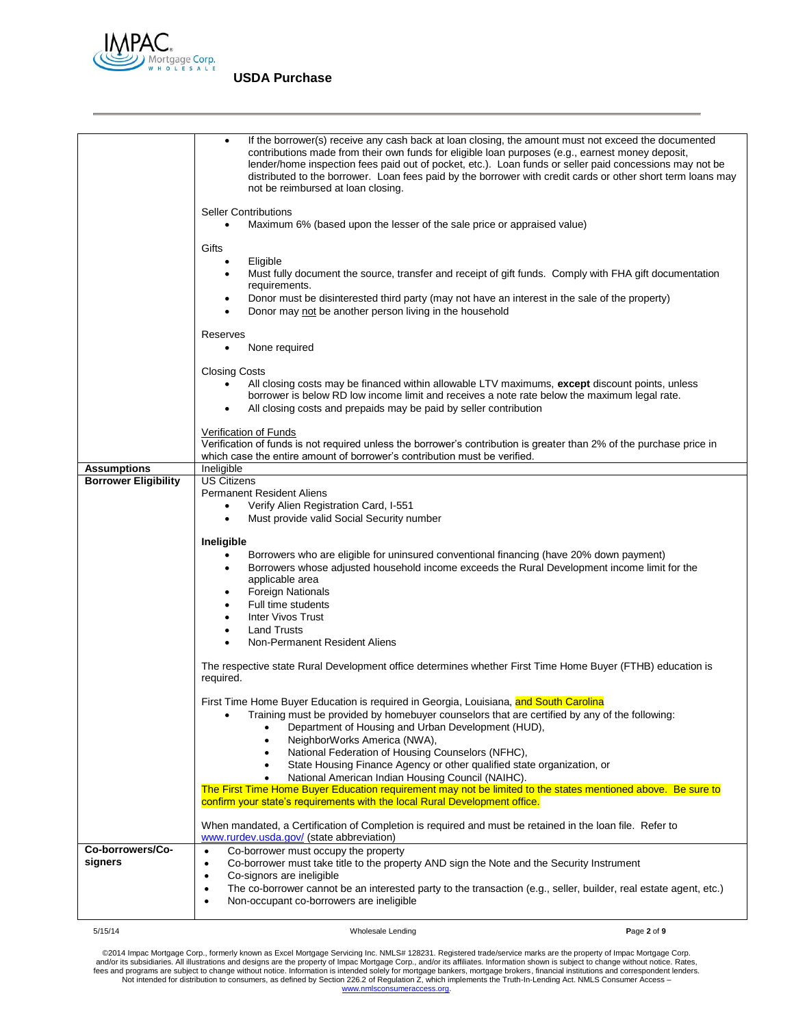

|                             | If the borrower(s) receive any cash back at loan closing, the amount must not exceed the documented<br>$\bullet$<br>contributions made from their own funds for eligible loan purposes (e.g., earnest money deposit,<br>lender/home inspection fees paid out of pocket, etc.). Loan funds or seller paid concessions may not be<br>distributed to the borrower. Loan fees paid by the borrower with credit cards or other short term loans may<br>not be reimbursed at loan closing. |
|-----------------------------|--------------------------------------------------------------------------------------------------------------------------------------------------------------------------------------------------------------------------------------------------------------------------------------------------------------------------------------------------------------------------------------------------------------------------------------------------------------------------------------|
|                             | <b>Seller Contributions</b><br>Maximum 6% (based upon the lesser of the sale price or appraised value)                                                                                                                                                                                                                                                                                                                                                                               |
|                             | Gifts                                                                                                                                                                                                                                                                                                                                                                                                                                                                                |
|                             | Eligible<br>$\bullet$<br>Must fully document the source, transfer and receipt of gift funds. Comply with FHA gift documentation<br>٠<br>requirements.                                                                                                                                                                                                                                                                                                                                |
|                             | Donor must be disinterested third party (may not have an interest in the sale of the property)<br>$\bullet$<br>Donor may not be another person living in the household                                                                                                                                                                                                                                                                                                               |
|                             | Reserves<br>None required<br>$\bullet$                                                                                                                                                                                                                                                                                                                                                                                                                                               |
|                             | <b>Closing Costs</b>                                                                                                                                                                                                                                                                                                                                                                                                                                                                 |
|                             | All closing costs may be financed within allowable LTV maximums, except discount points, unless<br>$\bullet$<br>borrower is below RD low income limit and receives a note rate below the maximum legal rate.<br>All closing costs and prepaids may be paid by seller contribution                                                                                                                                                                                                    |
|                             | Verification of Funds<br>Verification of funds is not required unless the borrower's contribution is greater than 2% of the purchase price in<br>which case the entire amount of borrower's contribution must be verified.                                                                                                                                                                                                                                                           |
| <b>Assumptions</b>          | Ineligible                                                                                                                                                                                                                                                                                                                                                                                                                                                                           |
| <b>Borrower Eligibility</b> | <b>US Citizens</b>                                                                                                                                                                                                                                                                                                                                                                                                                                                                   |
|                             | <b>Permanent Resident Aliens</b>                                                                                                                                                                                                                                                                                                                                                                                                                                                     |
|                             | Verify Alien Registration Card, I-551<br>$\bullet$<br>Must provide valid Social Security number<br>$\bullet$                                                                                                                                                                                                                                                                                                                                                                         |
|                             |                                                                                                                                                                                                                                                                                                                                                                                                                                                                                      |
|                             | Ineligible                                                                                                                                                                                                                                                                                                                                                                                                                                                                           |
|                             | Borrowers who are eligible for uninsured conventional financing (have 20% down payment)<br>$\bullet$                                                                                                                                                                                                                                                                                                                                                                                 |
|                             | Borrowers whose adjusted household income exceeds the Rural Development income limit for the<br>applicable area                                                                                                                                                                                                                                                                                                                                                                      |
|                             | <b>Foreign Nationals</b><br>٠                                                                                                                                                                                                                                                                                                                                                                                                                                                        |
|                             | Full time students                                                                                                                                                                                                                                                                                                                                                                                                                                                                   |
|                             | <b>Inter Vivos Trust</b><br>$\bullet$                                                                                                                                                                                                                                                                                                                                                                                                                                                |
|                             | <b>Land Trusts</b>                                                                                                                                                                                                                                                                                                                                                                                                                                                                   |
|                             | Non-Permanent Resident Aliens                                                                                                                                                                                                                                                                                                                                                                                                                                                        |
|                             | The respective state Rural Development office determines whether First Time Home Buyer (FTHB) education is<br>required.                                                                                                                                                                                                                                                                                                                                                              |
|                             | First Time Home Buyer Education is required in Georgia, Louisiana, and South Carolina<br>Training must be provided by homebuyer counselors that are certified by any of the following:<br>Department of Housing and Urban Development (HUD),<br>NeighborWorks America (NWA),                                                                                                                                                                                                         |
|                             | National Federation of Housing Counselors (NFHC),                                                                                                                                                                                                                                                                                                                                                                                                                                    |
|                             | State Housing Finance Agency or other qualified state organization, or                                                                                                                                                                                                                                                                                                                                                                                                               |
|                             | National American Indian Housing Council (NAIHC).<br>The First Time Home Buyer Education requirement may not be limited to the states mentioned above. Be sure to                                                                                                                                                                                                                                                                                                                    |
|                             | confirm your state's requirements with the local Rural Development office.                                                                                                                                                                                                                                                                                                                                                                                                           |
| Co-borrowers/Co-            | When mandated, a Certification of Completion is required and must be retained in the loan file. Refer to<br>www.rurdev.usda.gov/ (state abbreviation)                                                                                                                                                                                                                                                                                                                                |
| signers                     | Co-borrower must occupy the property<br>$\bullet$<br>Co-borrower must take title to the property AND sign the Note and the Security Instrument<br>$\bullet$                                                                                                                                                                                                                                                                                                                          |
|                             | Co-signors are ineligible<br>٠                                                                                                                                                                                                                                                                                                                                                                                                                                                       |
|                             | The co-borrower cannot be an interested party to the transaction (e.g., seller, builder, real estate agent, etc.)<br>$\bullet$<br>Non-occupant co-borrowers are ineligible<br>٠                                                                                                                                                                                                                                                                                                      |
|                             |                                                                                                                                                                                                                                                                                                                                                                                                                                                                                      |

5/15/14 Wholesale Lending **P**age **2** of **9**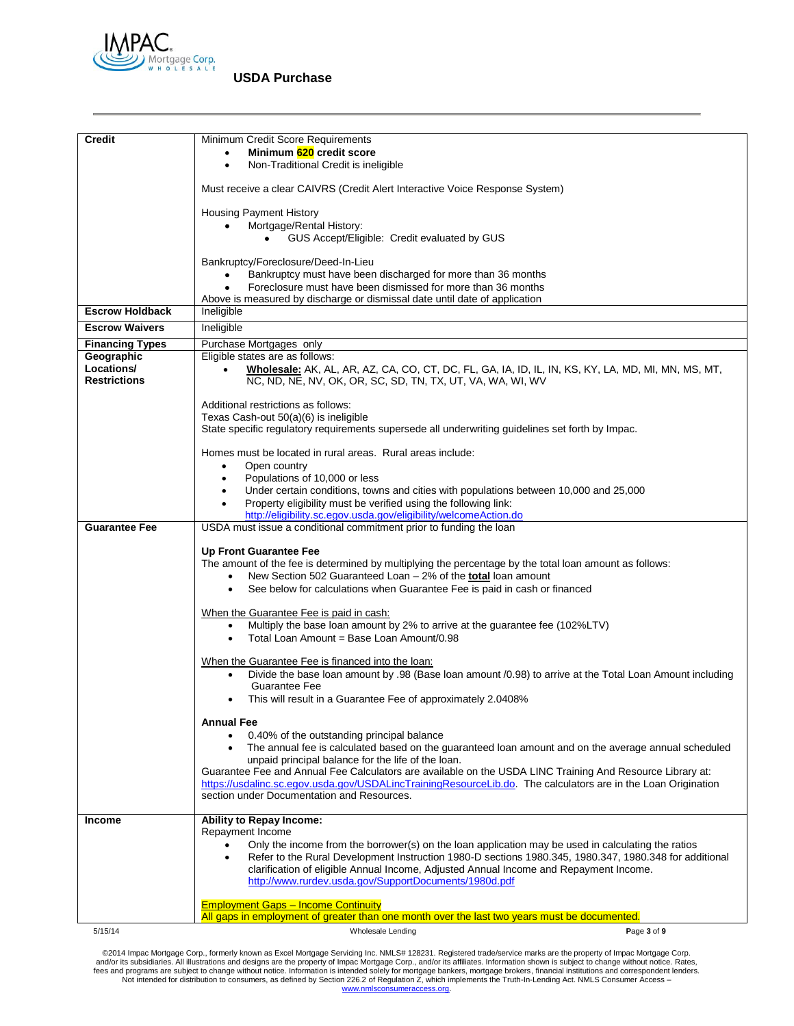

| <b>Credit</b>                     | Minimum Credit Score Requirements                                                                                                                                                                                          |
|-----------------------------------|----------------------------------------------------------------------------------------------------------------------------------------------------------------------------------------------------------------------------|
|                                   | Minimum 620 credit score                                                                                                                                                                                                   |
|                                   | Non-Traditional Credit is ineligible<br>$\bullet$                                                                                                                                                                          |
|                                   | Must receive a clear CAIVRS (Credit Alert Interactive Voice Response System)                                                                                                                                               |
|                                   | <b>Housing Payment History</b>                                                                                                                                                                                             |
|                                   | Mortgage/Rental History:                                                                                                                                                                                                   |
|                                   | GUS Accept/Eligible: Credit evaluated by GUS                                                                                                                                                                               |
|                                   | Bankruptcy/Foreclosure/Deed-In-Lieu                                                                                                                                                                                        |
|                                   | Bankruptcy must have been discharged for more than 36 months                                                                                                                                                               |
|                                   | Foreclosure must have been dismissed for more than 36 months<br>Above is measured by discharge or dismissal date until date of application                                                                                 |
| <b>Escrow Holdback</b>            | Ineligible                                                                                                                                                                                                                 |
| <b>Escrow Waivers</b>             | Ineligible                                                                                                                                                                                                                 |
| <b>Financing Types</b>            | Purchase Mortgages only                                                                                                                                                                                                    |
| Geographic                        | Eligible states are as follows:                                                                                                                                                                                            |
| Locations/<br><b>Restrictions</b> | Wholesale: AK, AL, AR, AZ, CA, CO, CT, DC, FL, GA, IA, ID, IL, IN, KS, KY, LA, MD, MI, MN, MS, MT,<br>$\bullet$<br>NC, ND, NE, NV, OK, OR, SC, SD, TN, TX, UT, VA, WA, WI, WV                                              |
|                                   | Additional restrictions as follows:                                                                                                                                                                                        |
|                                   | Texas Cash-out 50(a)(6) is ineligible<br>State specific regulatory requirements supersede all underwriting guidelines set forth by Impac.                                                                                  |
|                                   |                                                                                                                                                                                                                            |
|                                   | Homes must be located in rural areas. Rural areas include:                                                                                                                                                                 |
|                                   | Open country<br>$\bullet$<br>Populations of 10,000 or less<br>$\bullet$                                                                                                                                                    |
|                                   | Under certain conditions, towns and cities with populations between 10,000 and 25,000                                                                                                                                      |
|                                   | Property eligibility must be verified using the following link:<br>$\bullet$                                                                                                                                               |
| <b>Guarantee Fee</b>              | http://eligibility.sc.egov.usda.gov/eligibility/welcomeAction.do<br>USDA must issue a conditional commitment prior to funding the loan                                                                                     |
|                                   |                                                                                                                                                                                                                            |
|                                   | <b>Up Front Guarantee Fee</b>                                                                                                                                                                                              |
|                                   | The amount of the fee is determined by multiplying the percentage by the total loan amount as follows:                                                                                                                     |
|                                   | New Section 502 Guaranteed Loan - 2% of the <b>total</b> loan amount<br>$\bullet$<br>See below for calculations when Guarantee Fee is paid in cash or financed<br>$\bullet$                                                |
|                                   |                                                                                                                                                                                                                            |
|                                   | When the Guarantee Fee is paid in cash:                                                                                                                                                                                    |
|                                   | Multiply the base loan amount by 2% to arrive at the guarantee fee (102%LTV)<br>$\bullet$<br>Total Loan Amount = Base Loan Amount/0.98<br>$\bullet$                                                                        |
|                                   |                                                                                                                                                                                                                            |
|                                   | When the Guarantee Fee is financed into the loan:                                                                                                                                                                          |
|                                   | Divide the base loan amount by .98 (Base loan amount /0.98) to arrive at the Total Loan Amount including<br>$\bullet$<br><b>Guarantee Fee</b>                                                                              |
|                                   | This will result in a Guarantee Fee of approximately 2.0408%                                                                                                                                                               |
|                                   | <b>Annual Fee</b>                                                                                                                                                                                                          |
|                                   | 0.40% of the outstanding principal balance<br>$\bullet$                                                                                                                                                                    |
|                                   | The annual fee is calculated based on the guaranteed loan amount and on the average annual scheduled                                                                                                                       |
|                                   | unpaid principal balance for the life of the loan.                                                                                                                                                                         |
|                                   | Guarantee Fee and Annual Fee Calculators are available on the USDA LINC Training And Resource Library at:<br>https://usdalinc.sc.egov.usda.gov/USDALincTrainingResourceLib.do. The calculators are in the Loan Origination |
|                                   | section under Documentation and Resources.                                                                                                                                                                                 |
| <b>Income</b>                     | Ability to Repay Income:                                                                                                                                                                                                   |
|                                   | Repayment Income                                                                                                                                                                                                           |
|                                   | Only the income from the borrower(s) on the loan application may be used in calculating the ratios                                                                                                                         |
|                                   | Refer to the Rural Development Instruction 1980-D sections 1980.345, 1980.347, 1980.348 for additional<br>clarification of eligible Annual Income, Adjusted Annual Income and Repayment Income.                            |
|                                   | http://www.rurdev.usda.gov/SupportDocuments/1980d.pdf                                                                                                                                                                      |
|                                   | <b>Employment Gaps - Income Continuity</b>                                                                                                                                                                                 |
|                                   | All gaps in employment of greater than one month over the last two years must be documented.                                                                                                                               |
| 5/15/14                           | Wholesale Lending<br>Page 3 of 9                                                                                                                                                                                           |
|                                   |                                                                                                                                                                                                                            |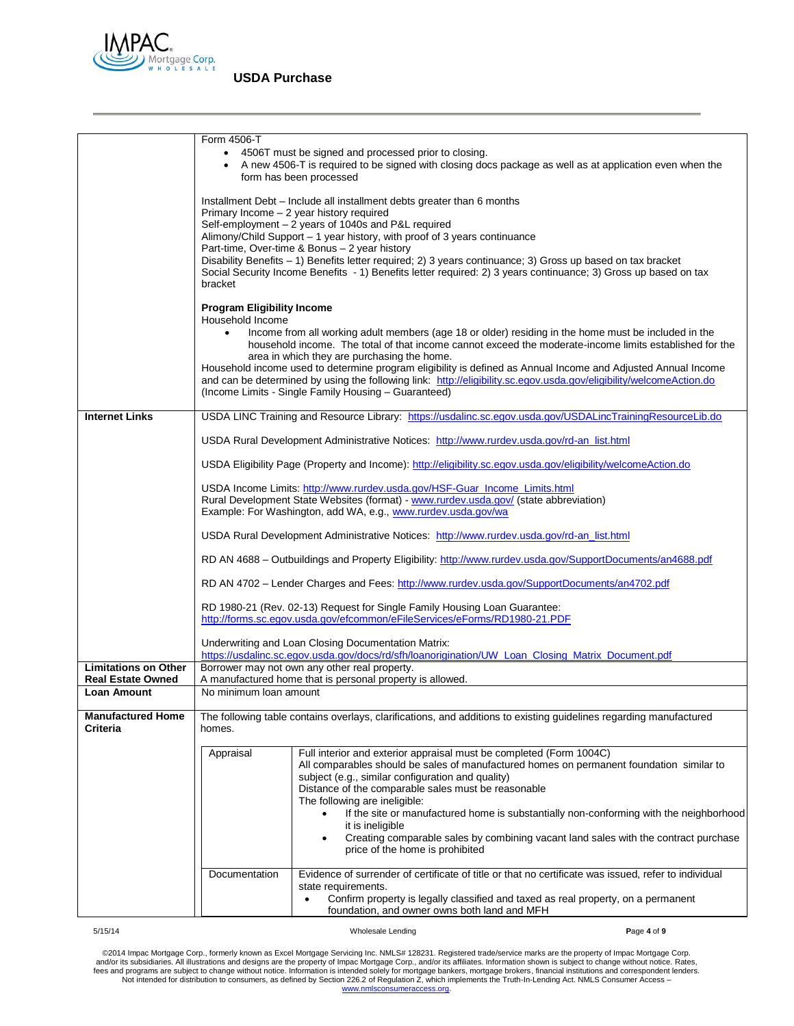

|                                                         | Form 4506-T                                                        | 4506T must be signed and processed prior to closing.<br>form has been processed                                                                                                                                                                                                                         | • A new 4506-T is required to be signed with closing docs package as well as at application even when the                                                                                                                                                                                                                                                                                                                                               |
|---------------------------------------------------------|--------------------------------------------------------------------|---------------------------------------------------------------------------------------------------------------------------------------------------------------------------------------------------------------------------------------------------------------------------------------------------------|---------------------------------------------------------------------------------------------------------------------------------------------------------------------------------------------------------------------------------------------------------------------------------------------------------------------------------------------------------------------------------------------------------------------------------------------------------|
|                                                         | bracket                                                            | Installment Debt - Include all installment debts greater than 6 months<br>Primary Income - 2 year history required<br>Self-employment - 2 years of 1040s and P&L required<br>Alimony/Child Support - 1 year history, with proof of 3 years continuance<br>Part-time, Over-time & Bonus - 2 year history | Disability Benefits - 1) Benefits letter required; 2) 3 years continuance; 3) Gross up based on tax bracket<br>Social Security Income Benefits - 1) Benefits letter required: 2) 3 years continuance; 3) Gross up based on tax                                                                                                                                                                                                                          |
|                                                         | <b>Program Eligibility Income</b><br>Household Income<br>$\bullet$ | area in which they are purchasing the home.<br>(Income Limits - Single Family Housing - Guaranteed)                                                                                                                                                                                                     | Income from all working adult members (age 18 or older) residing in the home must be included in the<br>household income. The total of that income cannot exceed the moderate-income limits established for the<br>Household income used to determine program eligibility is defined as Annual Income and Adjusted Annual Income<br>and can be determined by using the following link: http://eligibility.sc.egov.usda.gov/eligibility/welcomeAction.do |
| <b>Internet Links</b>                                   |                                                                    |                                                                                                                                                                                                                                                                                                         | USDA LINC Training and Resource Library: https://usdalinc.sc.egov.usda.gov/USDALincTrainingResourceLib.do                                                                                                                                                                                                                                                                                                                                               |
|                                                         |                                                                    | USDA Rural Development Administrative Notices: http://www.rurdev.usda.gov/rd-an_list.html                                                                                                                                                                                                               |                                                                                                                                                                                                                                                                                                                                                                                                                                                         |
|                                                         |                                                                    |                                                                                                                                                                                                                                                                                                         | USDA Eligibility Page (Property and Income): http://eligibility.sc.egov.usda.gov/eligibility/welcomeAction.do                                                                                                                                                                                                                                                                                                                                           |
|                                                         |                                                                    | USDA Income Limits: http://www.rurdev.usda.gov/HSF-Guar_Income_Limits.html<br>Rural Development State Websites (format) - www.rurdev.usda.gov/ (state abbreviation)<br>Example: For Washington, add WA, e.g., www.rurdev.usda.gov/wa                                                                    |                                                                                                                                                                                                                                                                                                                                                                                                                                                         |
|                                                         |                                                                    | USDA Rural Development Administrative Notices: http://www.rurdev.usda.gov/rd-an_list.html                                                                                                                                                                                                               |                                                                                                                                                                                                                                                                                                                                                                                                                                                         |
|                                                         |                                                                    |                                                                                                                                                                                                                                                                                                         | RD AN 4688 - Outbuildings and Property Eligibility: http://www.rurdev.usda.gov/SupportDocuments/an4688.pdf                                                                                                                                                                                                                                                                                                                                              |
|                                                         |                                                                    |                                                                                                                                                                                                                                                                                                         | RD AN 4702 - Lender Charges and Fees: http://www.rurdev.usda.gov/SupportDocuments/an4702.pdf                                                                                                                                                                                                                                                                                                                                                            |
|                                                         |                                                                    | RD 1980-21 (Rev. 02-13) Request for Single Family Housing Loan Guarantee:<br>http://forms.sc.egov.usda.gov/efcommon/eFileServices/eForms/RD1980-21.PDF                                                                                                                                                  |                                                                                                                                                                                                                                                                                                                                                                                                                                                         |
|                                                         |                                                                    | Underwriting and Loan Closing Documentation Matrix:                                                                                                                                                                                                                                                     | https://usdalinc.sc.egov.usda.gov/docs/rd/sfh/loanorigination/UW_Loan_Closing_Matrix_Document.pdf                                                                                                                                                                                                                                                                                                                                                       |
| <b>Limitations on Other</b><br><b>Real Estate Owned</b> |                                                                    | Borrower may not own any other real property.<br>A manufactured home that is personal property is allowed.                                                                                                                                                                                              |                                                                                                                                                                                                                                                                                                                                                                                                                                                         |
| <b>Loan Amount</b>                                      | No minimum loan amount                                             |                                                                                                                                                                                                                                                                                                         |                                                                                                                                                                                                                                                                                                                                                                                                                                                         |
| <b>Manufactured Home</b><br><b>Criteria</b>             | homes.                                                             |                                                                                                                                                                                                                                                                                                         | The following table contains overlays, clarifications, and additions to existing guidelines regarding manufactured                                                                                                                                                                                                                                                                                                                                      |
|                                                         | Appraisal                                                          | Full interior and exterior appraisal must be completed (Form 1004C)<br>subject (e.g., similar configuration and quality)<br>Distance of the comparable sales must be reasonable<br>The following are ineligible:<br>$\bullet$<br>it is ineligible<br>$\bullet$<br>price of the home is prohibited       | All comparables should be sales of manufactured homes on permanent foundation similar to<br>If the site or manufactured home is substantially non-conforming with the neighborhood<br>Creating comparable sales by combining vacant land sales with the contract purchase                                                                                                                                                                               |
|                                                         | Documentation                                                      | state requirements.<br>$\bullet$<br>foundation, and owner owns both land and MFH                                                                                                                                                                                                                        | Evidence of surrender of certificate of title or that no certificate was issued, refer to individual<br>Confirm property is legally classified and taxed as real property, on a permanent                                                                                                                                                                                                                                                               |
| 5/15/14                                                 |                                                                    | Wholesale Lending                                                                                                                                                                                                                                                                                       | Page 4 of 9                                                                                                                                                                                                                                                                                                                                                                                                                                             |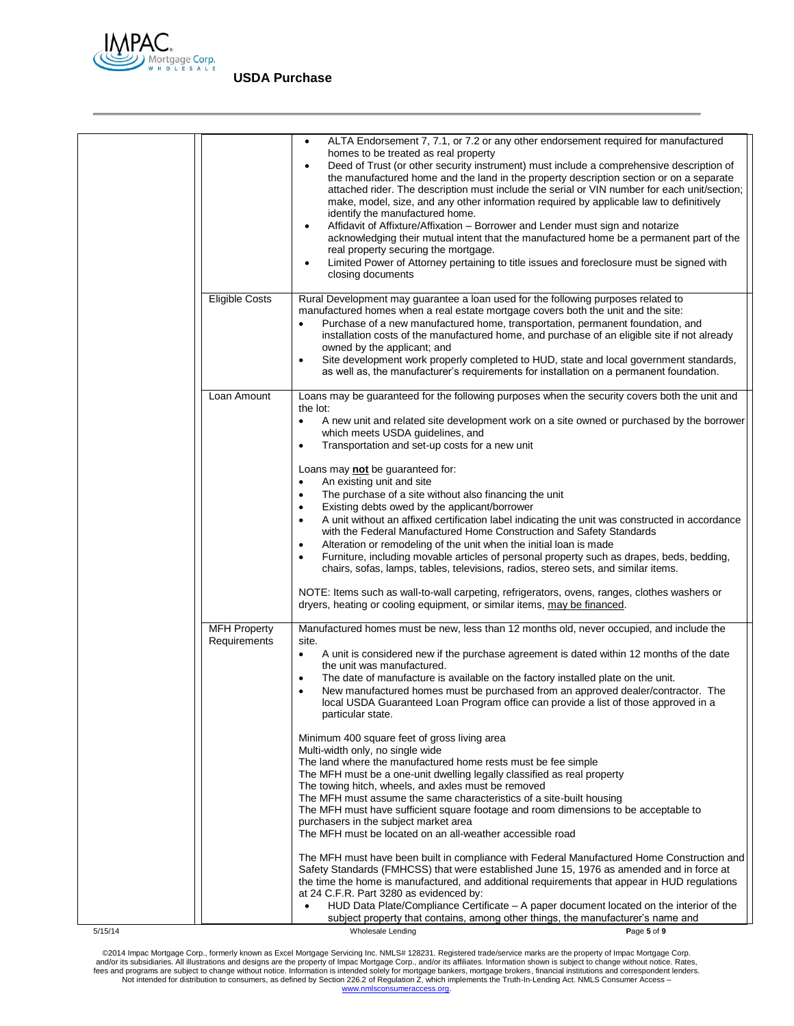

|         |                                     | ALTA Endorsement 7, 7.1, or 7.2 or any other endorsement required for manufactured<br>$\bullet$<br>homes to be treated as real property<br>Deed of Trust (or other security instrument) must include a comprehensive description of<br>$\bullet$<br>the manufactured home and the land in the property description section or on a separate<br>attached rider. The description must include the serial or VIN number for each unit/section;<br>make, model, size, and any other information required by applicable law to definitively<br>identify the manufactured home.<br>Affidavit of Affixture/Affixation – Borrower and Lender must sign and notarize<br>$\bullet$<br>acknowledging their mutual intent that the manufactured home be a permanent part of the<br>real property securing the mortgage.<br>Limited Power of Attorney pertaining to title issues and foreclosure must be signed with<br>$\bullet$<br>closing documents |
|---------|-------------------------------------|-------------------------------------------------------------------------------------------------------------------------------------------------------------------------------------------------------------------------------------------------------------------------------------------------------------------------------------------------------------------------------------------------------------------------------------------------------------------------------------------------------------------------------------------------------------------------------------------------------------------------------------------------------------------------------------------------------------------------------------------------------------------------------------------------------------------------------------------------------------------------------------------------------------------------------------------|
|         | <b>Eligible Costs</b>               | Rural Development may guarantee a loan used for the following purposes related to<br>manufactured homes when a real estate mortgage covers both the unit and the site:<br>Purchase of a new manufactured home, transportation, permanent foundation, and<br>installation costs of the manufactured home, and purchase of an eligible site if not already<br>owned by the applicant; and<br>Site development work properly completed to HUD, state and local government standards,<br>as well as, the manufacturer's requirements for installation on a permanent foundation.                                                                                                                                                                                                                                                                                                                                                              |
|         | Loan Amount                         | Loans may be guaranteed for the following purposes when the security covers both the unit and<br>the lot:<br>A new unit and related site development work on a site owned or purchased by the borrower<br>$\bullet$<br>which meets USDA guidelines, and<br>Transportation and set-up costs for a new unit<br>$\bullet$                                                                                                                                                                                                                                                                                                                                                                                                                                                                                                                                                                                                                    |
|         |                                     | Loans may not be guaranteed for:<br>An existing unit and site<br>$\bullet$<br>The purchase of a site without also financing the unit<br>$\bullet$<br>Existing debts owed by the applicant/borrower<br>A unit without an affixed certification label indicating the unit was constructed in accordance<br>$\bullet$<br>with the Federal Manufactured Home Construction and Safety Standards<br>Alteration or remodeling of the unit when the initial loan is made<br>Furniture, including movable articles of personal property such as drapes, beds, bedding,<br>$\bullet$<br>chairs, sofas, lamps, tables, televisions, radios, stereo sets, and similar items.<br>NOTE: Items such as wall-to-wall carpeting, refrigerators, ovens, ranges, clothes washers or<br>dryers, heating or cooling equipment, or similar items, may be financed.                                                                                              |
|         | <b>MFH Property</b><br>Requirements | Manufactured homes must be new, less than 12 months old, never occupied, and include the<br>site.<br>A unit is considered new if the purchase agreement is dated within 12 months of the date<br>$\bullet$<br>the unit was manufactured.<br>The date of manufacture is available on the factory installed plate on the unit.<br>New manufactured homes must be purchased from an approved dealer/contractor. The<br>local USDA Guaranteed Loan Program office can provide a list of those approved in a<br>particular state.                                                                                                                                                                                                                                                                                                                                                                                                              |
|         |                                     | Minimum 400 square feet of gross living area<br>Multi-width only, no single wide<br>The land where the manufactured home rests must be fee simple<br>The MFH must be a one-unit dwelling legally classified as real property<br>The towing hitch, wheels, and axles must be removed<br>The MFH must assume the same characteristics of a site-built housing<br>The MFH must have sufficient square footage and room dimensions to be acceptable to<br>purchasers in the subject market area<br>The MFH must be located on an all-weather accessible road                                                                                                                                                                                                                                                                                                                                                                                  |
|         |                                     | The MFH must have been built in compliance with Federal Manufactured Home Construction and<br>Safety Standards (FMHCSS) that were established June 15, 1976 as amended and in force at<br>the time the home is manufactured, and additional requirements that appear in HUD regulations<br>at 24 C.F.R. Part 3280 as evidenced by:<br>HUD Data Plate/Compliance Certificate – A paper document located on the interior of the<br>subject property that contains, among other things, the manufacturer's name and                                                                                                                                                                                                                                                                                                                                                                                                                          |
| 5/15/14 |                                     | Wholesale Lending<br>Page 5 of 9                                                                                                                                                                                                                                                                                                                                                                                                                                                                                                                                                                                                                                                                                                                                                                                                                                                                                                          |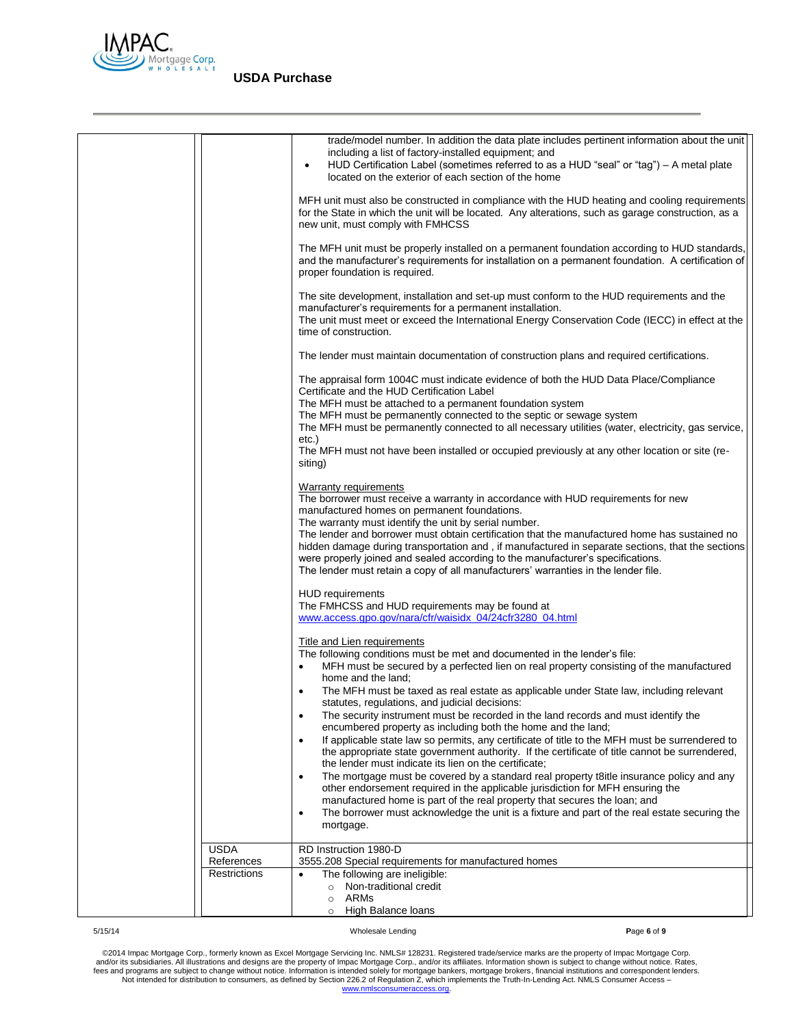

|                           | trade/model number. In addition the data plate includes pertinent information about the unit<br>including a list of factory-installed equipment; and<br>HUD Certification Label (sometimes referred to as a HUD "seal" or "tag") - A metal plate<br>$\bullet$<br>located on the exterior of each section of the home                                                       |
|---------------------------|----------------------------------------------------------------------------------------------------------------------------------------------------------------------------------------------------------------------------------------------------------------------------------------------------------------------------------------------------------------------------|
|                           | MFH unit must also be constructed in compliance with the HUD heating and cooling requirements<br>for the State in which the unit will be located. Any alterations, such as garage construction, as a<br>new unit, must comply with FMHCSS                                                                                                                                  |
|                           | The MFH unit must be properly installed on a permanent foundation according to HUD standards,<br>and the manufacturer's requirements for installation on a permanent foundation. A certification of<br>proper foundation is required.                                                                                                                                      |
|                           | The site development, installation and set-up must conform to the HUD requirements and the<br>manufacturer's requirements for a permanent installation.<br>The unit must meet or exceed the International Energy Conservation Code (IECC) in effect at the<br>time of construction.                                                                                        |
|                           | The lender must maintain documentation of construction plans and required certifications.                                                                                                                                                                                                                                                                                  |
|                           | The appraisal form 1004C must indicate evidence of both the HUD Data Place/Compliance<br>Certificate and the HUD Certification Label<br>The MFH must be attached to a permanent foundation system                                                                                                                                                                          |
|                           | The MFH must be permanently connected to the septic or sewage system<br>The MFH must be permanently connected to all necessary utilities (water, electricity, gas service,<br>etc.)                                                                                                                                                                                        |
|                           | The MFH must not have been installed or occupied previously at any other location or site (re-<br>siting)                                                                                                                                                                                                                                                                  |
|                           | Warranty requirements<br>The borrower must receive a warranty in accordance with HUD requirements for new<br>manufactured homes on permanent foundations.<br>The warranty must identify the unit by serial number.                                                                                                                                                         |
|                           | The lender and borrower must obtain certification that the manufactured home has sustained no<br>hidden damage during transportation and, if manufactured in separate sections, that the sections<br>were properly joined and sealed according to the manufacturer's specifications.<br>The lender must retain a copy of all manufacturers' warranties in the lender file. |
|                           | <b>HUD</b> requirements<br>The FMHCSS and HUD requirements may be found at<br>www.access.gpo.gov/nara/cfr/waisidx_04/24cfr3280_04.html                                                                                                                                                                                                                                     |
|                           | <b>Title and Lien requirements</b>                                                                                                                                                                                                                                                                                                                                         |
|                           | The following conditions must be met and documented in the lender's file:<br>MFH must be secured by a perfected lien on real property consisting of the manufactured<br>$\bullet$<br>home and the land:                                                                                                                                                                    |
|                           | The MFH must be taxed as real estate as applicable under State law, including relevant<br>$\bullet$<br>statutes, regulations, and judicial decisions:                                                                                                                                                                                                                      |
|                           | The security instrument must be recorded in the land records and must identify the<br>$\bullet$<br>encumbered property as including both the home and the land;                                                                                                                                                                                                            |
|                           | If applicable state law so permits, any certificate of title to the MFH must be surrendered to<br>$\bullet$<br>the appropriate state government authority. If the certificate of title cannot be surrendered,<br>the lender must indicate its lien on the certificate;                                                                                                     |
|                           | The mortgage must be covered by a standard real property t8itle insurance policy and any<br>$\bullet$<br>other endorsement required in the applicable jurisdiction for MFH ensuring the<br>manufactured home is part of the real property that secures the loan; and                                                                                                       |
|                           | The borrower must acknowledge the unit is a fixture and part of the real estate securing the<br>$\bullet$<br>mortgage.                                                                                                                                                                                                                                                     |
| <b>USDA</b><br>References | RD Instruction 1980-D<br>3555.208 Special requirements for manufactured homes                                                                                                                                                                                                                                                                                              |
| Restrictions              | The following are ineligible:<br>$\bullet$<br>Non-traditional credit<br>$\circ$                                                                                                                                                                                                                                                                                            |
|                           | ARMs<br>$\circ$<br>High Balance loans<br>$\circ$                                                                                                                                                                                                                                                                                                                           |

5/15/14 Wholesale Lending **P**age **6** of **9**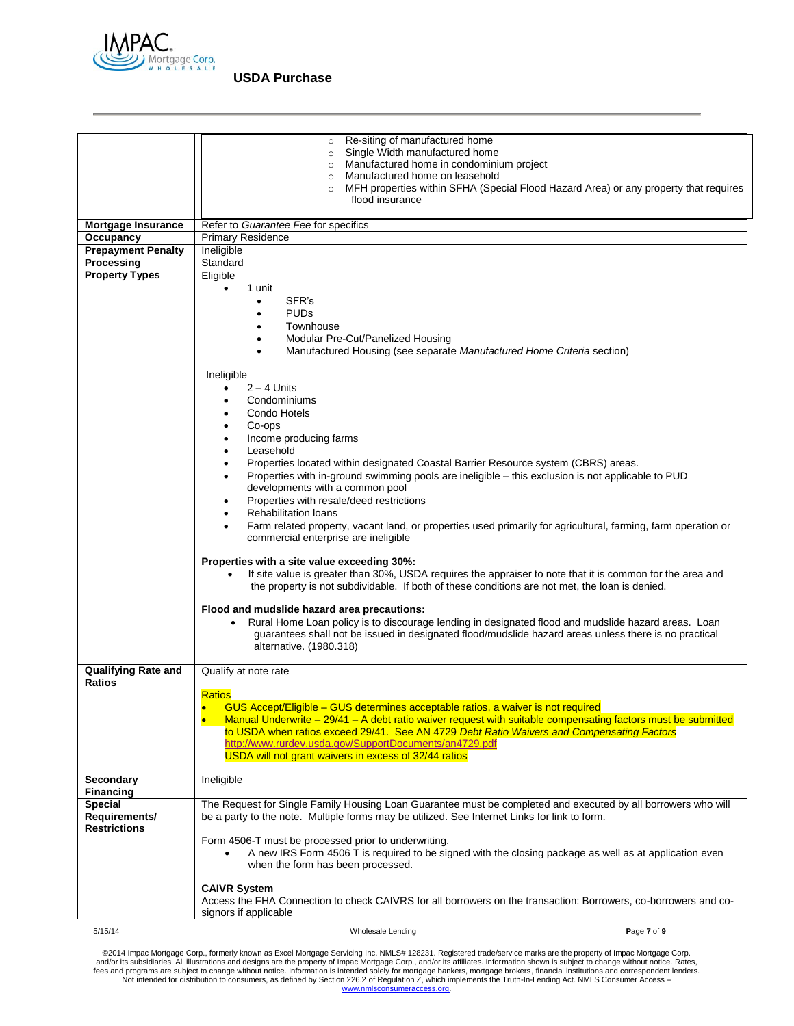

|                            | Re-siting of manufactured home<br>$\circ$<br>Single Width manufactured home<br>$\circ$                                                                                                                        |
|----------------------------|---------------------------------------------------------------------------------------------------------------------------------------------------------------------------------------------------------------|
|                            | Manufactured home in condominium project<br>$\circ$                                                                                                                                                           |
|                            | o Manufactured home on leasehold                                                                                                                                                                              |
|                            | MFH properties within SFHA (Special Flood Hazard Area) or any property that requires<br>flood insurance                                                                                                       |
|                            |                                                                                                                                                                                                               |
| <b>Mortgage Insurance</b>  | Refer to Guarantee Fee for specifics                                                                                                                                                                          |
| Occupancy                  | <b>Primary Residence</b>                                                                                                                                                                                      |
| <b>Prepayment Penalty</b>  | Ineligible                                                                                                                                                                                                    |
| Processing                 | Standard                                                                                                                                                                                                      |
| <b>Property Types</b>      | Eligible                                                                                                                                                                                                      |
|                            | 1 unit<br>$\bullet$                                                                                                                                                                                           |
|                            | SFR's<br>٠                                                                                                                                                                                                    |
|                            | <b>PUDs</b><br>$\bullet$<br>Townhouse                                                                                                                                                                         |
|                            | Modular Pre-Cut/Panelized Housing<br>$\bullet$                                                                                                                                                                |
|                            | Manufactured Housing (see separate Manufactured Home Criteria section)<br>$\bullet$                                                                                                                           |
|                            |                                                                                                                                                                                                               |
|                            | Ineligible                                                                                                                                                                                                    |
|                            | $2 - 4$ Units                                                                                                                                                                                                 |
|                            | Condominiums                                                                                                                                                                                                  |
|                            | Condo Hotels                                                                                                                                                                                                  |
|                            | Co-ops                                                                                                                                                                                                        |
|                            | Income producing farms                                                                                                                                                                                        |
|                            | Leasehold                                                                                                                                                                                                     |
|                            | Properties located within designated Coastal Barrier Resource system (CBRS) areas.                                                                                                                            |
|                            | Properties with in-ground swimming pools are ineligible - this exclusion is not applicable to PUD<br>developments with a common pool                                                                          |
|                            | Properties with resale/deed restrictions<br>٠                                                                                                                                                                 |
|                            | <b>Rehabilitation loans</b>                                                                                                                                                                                   |
|                            | Farm related property, vacant land, or properties used primarily for agricultural, farming, farm operation or                                                                                                 |
|                            | commercial enterprise are ineligible                                                                                                                                                                          |
|                            |                                                                                                                                                                                                               |
|                            | Properties with a site value exceeding 30%:                                                                                                                                                                   |
|                            | If site value is greater than 30%, USDA requires the appraiser to note that it is common for the area and                                                                                                     |
|                            | the property is not subdividable. If both of these conditions are not met, the loan is denied.                                                                                                                |
|                            | Flood and mudslide hazard area precautions:                                                                                                                                                                   |
|                            | Rural Home Loan policy is to discourage lending in designated flood and mudslide hazard areas. Loan                                                                                                           |
|                            | guarantees shall not be issued in designated flood/mudslide hazard areas unless there is no practical                                                                                                         |
|                            | alternative. (1980.318)                                                                                                                                                                                       |
|                            |                                                                                                                                                                                                               |
| <b>Qualifying Rate and</b> | Qualify at note rate                                                                                                                                                                                          |
| <b>Ratios</b>              |                                                                                                                                                                                                               |
|                            | <b>Ratios</b><br>GUS Accept/Eligible - GUS determines acceptable ratios, a waiver is not required                                                                                                             |
|                            | Manual Underwrite – 29/41 – A debt ratio waiver request with suitable compensating factors must be submitted                                                                                                  |
|                            | to USDA when ratios exceed 29/41. See AN 4729 Debt Ratio Waivers and Compensating Factors                                                                                                                     |
|                            | http://www.rurdev.usda.gov/SupportDocuments/an4729.pdf                                                                                                                                                        |
|                            | USDA will not grant waivers in excess of 32/44 ratios                                                                                                                                                         |
|                            |                                                                                                                                                                                                               |
| <b>Secondary</b>           | Ineligible                                                                                                                                                                                                    |
| <b>Financing</b>           |                                                                                                                                                                                                               |
| Special<br>Requirements/   | The Request for Single Family Housing Loan Guarantee must be completed and executed by all borrowers who will<br>be a party to the note. Multiple forms may be utilized. See Internet Links for link to form. |
| <b>Restrictions</b>        |                                                                                                                                                                                                               |
|                            | Form 4506-T must be processed prior to underwriting.                                                                                                                                                          |
|                            | A new IRS Form 4506 T is required to be signed with the closing package as well as at application even                                                                                                        |
|                            | when the form has been processed.                                                                                                                                                                             |
|                            |                                                                                                                                                                                                               |
|                            | <b>CAIVR System</b>                                                                                                                                                                                           |
|                            | Access the FHA Connection to check CAIVRS for all borrowers on the transaction: Borrowers, co-borrowers and co-<br>signors if applicable                                                                      |
|                            |                                                                                                                                                                                                               |
| 5/15/14                    | Page 7 of 9<br>Wholesale Lending                                                                                                                                                                              |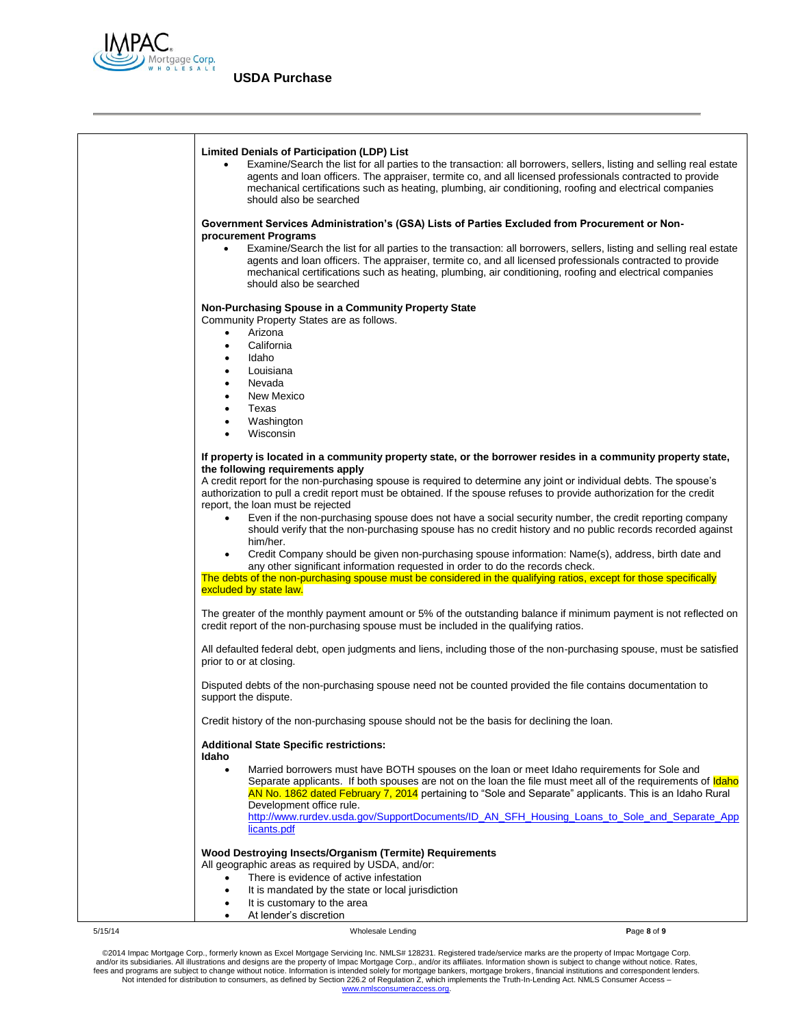

| <b>Limited Denials of Participation (LDP) List</b><br>Examine/Search the list for all parties to the transaction: all borrowers, sellers, listing and selling real estate<br>agents and loan officers. The appraiser, termite co, and all licensed professionals contracted to provide<br>mechanical certifications such as heating, plumbing, air conditioning, roofing and electrical companies<br>should also be searched |
|------------------------------------------------------------------------------------------------------------------------------------------------------------------------------------------------------------------------------------------------------------------------------------------------------------------------------------------------------------------------------------------------------------------------------|
| Government Services Administration's (GSA) Lists of Parties Excluded from Procurement or Non-                                                                                                                                                                                                                                                                                                                                |
| procurement Programs<br>Examine/Search the list for all parties to the transaction: all borrowers, sellers, listing and selling real estate<br>$\bullet$<br>agents and loan officers. The appraiser, termite co, and all licensed professionals contracted to provide<br>mechanical certifications such as heating, plumbing, air conditioning, roofing and electrical companies<br>should also be searched                  |
| Non-Purchasing Spouse in a Community Property State                                                                                                                                                                                                                                                                                                                                                                          |
| Community Property States are as follows.<br>Arizona<br>$\bullet$                                                                                                                                                                                                                                                                                                                                                            |
| California<br>$\bullet$                                                                                                                                                                                                                                                                                                                                                                                                      |
| Idaho<br>$\bullet$                                                                                                                                                                                                                                                                                                                                                                                                           |
| Louisiana<br>$\bullet$                                                                                                                                                                                                                                                                                                                                                                                                       |
| Nevada<br>$\bullet$                                                                                                                                                                                                                                                                                                                                                                                                          |
| New Mexico<br>$\bullet$<br>Texas<br>$\bullet$                                                                                                                                                                                                                                                                                                                                                                                |
| Washington                                                                                                                                                                                                                                                                                                                                                                                                                   |
| Wisconsin                                                                                                                                                                                                                                                                                                                                                                                                                    |
| If property is located in a community property state, or the borrower resides in a community property state,                                                                                                                                                                                                                                                                                                                 |
| the following requirements apply<br>A credit report for the non-purchasing spouse is required to determine any joint or individual debts. The spouse's                                                                                                                                                                                                                                                                       |
| authorization to pull a credit report must be obtained. If the spouse refuses to provide authorization for the credit                                                                                                                                                                                                                                                                                                        |
| report, the loan must be rejected                                                                                                                                                                                                                                                                                                                                                                                            |
| Even if the non-purchasing spouse does not have a social security number, the credit reporting company<br>should verify that the non-purchasing spouse has no credit history and no public records recorded against<br>him/her.                                                                                                                                                                                              |
| Credit Company should be given non-purchasing spouse information: Name(s), address, birth date and<br>$\bullet$<br>any other significant information requested in order to do the records check.<br>The debts of the non-purchasing spouse must be considered in the qualifying ratios, except for those specifically                                                                                                        |
| excluded by state law.                                                                                                                                                                                                                                                                                                                                                                                                       |
| The greater of the monthly payment amount or 5% of the outstanding balance if minimum payment is not reflected on<br>credit report of the non-purchasing spouse must be included in the qualifying ratios.                                                                                                                                                                                                                   |
| All defaulted federal debt, open judgments and liens, including those of the non-purchasing spouse, must be satisfied<br>prior to or at closing.                                                                                                                                                                                                                                                                             |
| Disputed debts of the non-purchasing spouse need not be counted provided the file contains documentation to<br>support the dispute.                                                                                                                                                                                                                                                                                          |
| Credit history of the non-purchasing spouse should not be the basis for declining the loan.                                                                                                                                                                                                                                                                                                                                  |
| <b>Additional State Specific restrictions:</b><br>Idaho                                                                                                                                                                                                                                                                                                                                                                      |
| Married borrowers must have BOTH spouses on the loan or meet Idaho requirements for Sole and<br>$\bullet$<br>Separate applicants. If both spouses are not on the loan the file must meet all of the requirements of <b>Idaho</b><br>AN No. 1862 dated February 7, 2014 pertaining to "Sole and Separate" applicants. This is an Idaho Rural<br>Development office rule.                                                      |
| http://www.rurdev.usda.gov/SupportDocuments/ID_AN_SFH_Housing_Loans_to_Sole_and_Separate_App<br>licants.pdf                                                                                                                                                                                                                                                                                                                  |
| Wood Destroying Insects/Organism (Termite) Requirements                                                                                                                                                                                                                                                                                                                                                                      |
| All geographic areas as required by USDA, and/or:                                                                                                                                                                                                                                                                                                                                                                            |
| There is evidence of active infestation                                                                                                                                                                                                                                                                                                                                                                                      |
| It is mandated by the state or local jurisdiction<br>٠<br>It is customary to the area<br>$\bullet$                                                                                                                                                                                                                                                                                                                           |
| At lender's discretion<br>$\bullet$                                                                                                                                                                                                                                                                                                                                                                                          |

5/15/14 Wholesale Lending **P**age **8** of **9**